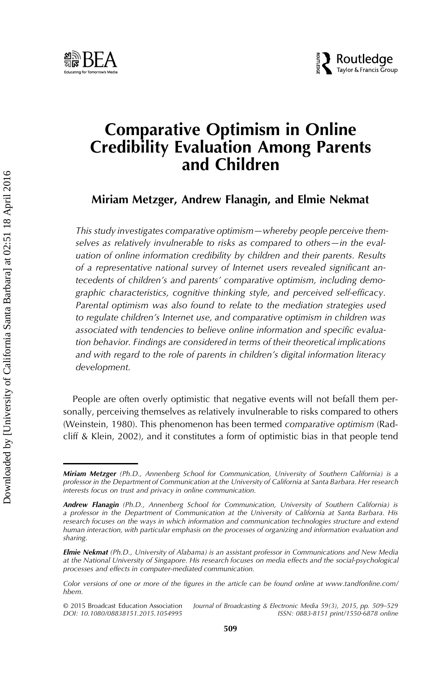



# Comparative Optimism in Online Credibility Evaluation Among Parents and Children

Miriam Metzger, Andrew Flanagin, and Elmie Nekmat

This study investigates comparative optimism—whereby people perceive themselves as relatively invulnerable to risks as compared to others—in the evaluation of online information credibility by children and their parents. Results of a representative national survey of Internet users revealed significant antecedents of children's and parents' comparative optimism, including demographic characteristics, cognitive thinking style, and perceived self-efficacy. Parental optimism was also found to relate to the mediation strategies used to regulate children's Internet use, and comparative optimism in children was associated with tendencies to believe online information and specific evaluation behavior. Findings are considered in terms of their theoretical implications and with regard to the role of parents in children's digital information literacy development.

People are often overly optimistic that negative events will not befall them personally, perceiving themselves as relatively invulnerable to risks compared to others (Weinstein, 1980). This phenomenon has been termed comparative optimism (Radcliff & Klein, 2002), and it constitutes a form of optimistic bias in that people tend

Miriam Metzger (Ph.D., Annenberg School for Communication, University of Southern California) is a professor in the Department of Communication at the University of California at Santa Barbara. Her research interests focus on trust and privacy in online communication.

Andrew Flanagin (Ph.D., Annenberg School for Communication, University of Southern California) is a professor in the Department of Communication at the University of California at Santa Barbara. His research focuses on the ways in which information and communication technologies structure and extend human interaction, with particular emphasis on the processes of organizing and information evaluation and sharing.

Elmie Nekmat (Ph.D., University of Alabama) is an assistant professor in Communications and New Media at the National University of Singapore. His research focuses on media effects and the social-psychological processes and effects in computer-mediated communication.

Color versions of one or more of the figures in the article can be found online at www.tandfonline.com/ hbem.

<sup>©</sup> 2015 Broadcast Education Association Journal of Broadcasting & Electronic Media 59(3), 2015, pp. 509–529 ISSN: 0883-8151 print/1550-6878 online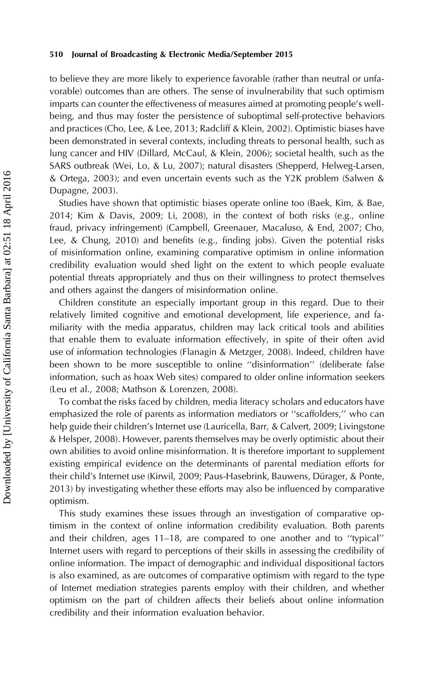to believe they are more likely to experience favorable (rather than neutral or unfavorable) outcomes than are others. The sense of invulnerability that such optimism imparts can counter the effectiveness of measures aimed at promoting people's wellbeing, and thus may foster the persistence of suboptimal self-protective behaviors and practices (Cho, Lee, & Lee, 2013; Radcliff & Klein, 2002). Optimistic biases have been demonstrated in several contexts, including threats to personal health, such as lung cancer and HIV (Dillard, McCaul, & Klein, 2006); societal health, such as the SARS outbreak (Wei, Lo, & Lu, 2007); natural disasters (Shepperd, Helweg-Larsen, & Ortega, 2003); and even uncertain events such as the Y2K problem (Salwen & Dupagne, 2003).

Studies have shown that optimistic biases operate online too (Baek, Kim, & Bae, 2014; Kim & Davis, 2009; Li, 2008), in the context of both risks (e.g., online fraud, privacy infringement) (Campbell, Greenauer, Macaluso, & End, 2007; Cho, Lee, & Chung, 2010) and benefits (e.g., finding jobs). Given the potential risks of misinformation online, examining comparative optimism in online information credibility evaluation would shed light on the extent to which people evaluate potential threats appropriately and thus on their willingness to protect themselves and others against the dangers of misinformation online.

Children constitute an especially important group in this regard. Due to their relatively limited cognitive and emotional development, life experience, and familiarity with the media apparatus, children may lack critical tools and abilities that enable them to evaluate information effectively, in spite of their often avid use of information technologies (Flanagin & Metzger, 2008). Indeed, children have been shown to be more susceptible to online ''disinformation'' (deliberate false information, such as hoax Web sites) compared to older online information seekers (Leu et al., 2008; Mathson & Lorenzen, 2008).

To combat the risks faced by children, media literacy scholars and educators have emphasized the role of parents as information mediators or ''scaffolders,'' who can help guide their children's Internet use (Lauricella, Barr, & Calvert, 2009; Livingstone & Helsper, 2008). However, parents themselves may be overly optimistic about their own abilities to avoid online misinformation. It is therefore important to supplement existing empirical evidence on the determinants of parental mediation efforts for their child's Internet use (Kirwil, 2009; Paus-Hasebrink, Bauwens, Dürager, & Ponte, 2013) by investigating whether these efforts may also be influenced by comparative optimism.

This study examines these issues through an investigation of comparative optimism in the context of online information credibility evaluation. Both parents and their children, ages 11–18, are compared to one another and to ''typical'' Internet users with regard to perceptions of their skills in assessing the credibility of online information. The impact of demographic and individual dispositional factors is also examined, as are outcomes of comparative optimism with regard to the type of Internet mediation strategies parents employ with their children, and whether optimism on the part of children affects their beliefs about online information credibility and their information evaluation behavior.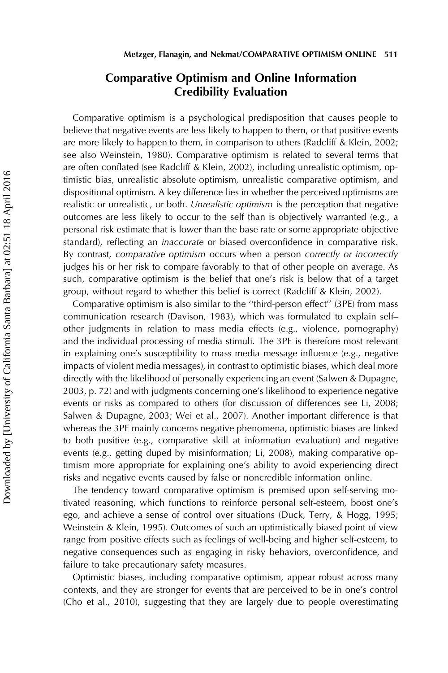# Comparative Optimism and Online Information Credibility Evaluation

Comparative optimism is a psychological predisposition that causes people to believe that negative events are less likely to happen to them, or that positive events are more likely to happen to them, in comparison to others (Radcliff & Klein, 2002; see also Weinstein, 1980). Comparative optimism is related to several terms that are often conflated (see Radcliff & Klein, 2002), including unrealistic optimism, optimistic bias, unrealistic absolute optimism, unrealistic comparative optimism, and dispositional optimism. A key difference lies in whether the perceived optimisms are realistic or unrealistic, or both. Unrealistic optimism is the perception that negative outcomes are less likely to occur to the self than is objectively warranted (e.g., a personal risk estimate that is lower than the base rate or some appropriate objective standard), reflecting an *inaccurate* or biased overconfidence in comparative risk. By contrast, comparative optimism occurs when a person correctly or incorrectly judges his or her risk to compare favorably to that of other people on average. As such, comparative optimism is the belief that one's risk is below that of a target group, without regard to whether this belief is correct (Radcliff & Klein, 2002).

Comparative optimism is also similar to the ''third-person effect'' (3PE) from mass communication research (Davison, 1983), which was formulated to explain self– other judgments in relation to mass media effects (e.g., violence, pornography) and the individual processing of media stimuli. The 3PE is therefore most relevant in explaining one's susceptibility to mass media message influence (e.g., negative impacts of violent media messages), in contrast to optimistic biases, which deal more directly with the likelihood of personally experiencing an event (Salwen & Dupagne, 2003, p. 72) and with judgments concerning one's likelihood to experience negative events or risks as compared to others (for discussion of differences see Li, 2008; Salwen & Dupagne, 2003; Wei et al., 2007). Another important difference is that whereas the 3PE mainly concerns negative phenomena, optimistic biases are linked to both positive (e.g., comparative skill at information evaluation) and negative events (e.g., getting duped by misinformation; Li, 2008), making comparative optimism more appropriate for explaining one's ability to avoid experiencing direct risks and negative events caused by false or noncredible information online.

The tendency toward comparative optimism is premised upon self-serving motivated reasoning, which functions to reinforce personal self-esteem, boost one's ego, and achieve a sense of control over situations (Duck, Terry, & Hogg, 1995; Weinstein & Klein, 1995). Outcomes of such an optimistically biased point of view range from positive effects such as feelings of well-being and higher self-esteem, to negative consequences such as engaging in risky behaviors, overconfidence, and failure to take precautionary safety measures.

Optimistic biases, including comparative optimism, appear robust across many contexts, and they are stronger for events that are perceived to be in one's control (Cho et al., 2010), suggesting that they are largely due to people overestimating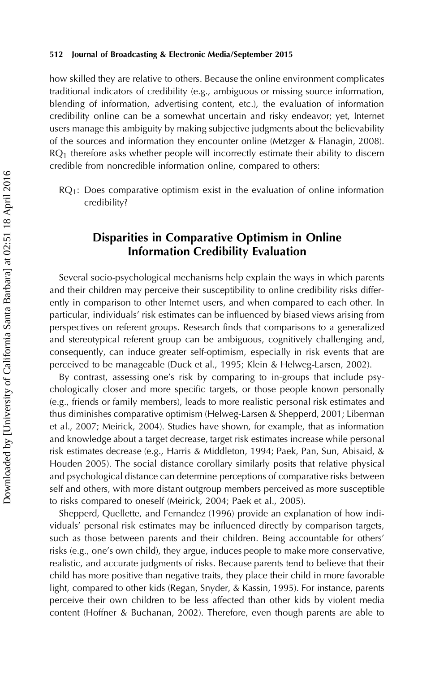how skilled they are relative to others. Because the online environment complicates traditional indicators of credibility (e.g., ambiguous or missing source information, blending of information, advertising content, etc.), the evaluation of information credibility online can be a somewhat uncertain and risky endeavor; yet, Internet users manage this ambiguity by making subjective judgments about the believability of the sources and information they encounter online (Metzger & Flanagin, 2008).  $RQ<sub>1</sub>$  therefore asks whether people will incorrectly estimate their ability to discern credible from noncredible information online, compared to others:

 $RQ<sub>1</sub>$ : Does comparative optimism exist in the evaluation of online information credibility?

# Disparities in Comparative Optimism in Online Information Credibility Evaluation

Several socio-psychological mechanisms help explain the ways in which parents and their children may perceive their susceptibility to online credibility risks differently in comparison to other Internet users, and when compared to each other. In particular, individuals' risk estimates can be influenced by biased views arising from perspectives on referent groups. Research finds that comparisons to a generalized and stereotypical referent group can be ambiguous, cognitively challenging and, consequently, can induce greater self-optimism, especially in risk events that are perceived to be manageable (Duck et al., 1995; Klein & Helweg-Larsen, 2002).

By contrast, assessing one's risk by comparing to in-groups that include psychologically closer and more specific targets, or those people known personally (e.g., friends or family members), leads to more realistic personal risk estimates and thus diminishes comparative optimism (Helweg-Larsen & Shepperd, 2001; Liberman et al., 2007; Meirick, 2004). Studies have shown, for example, that as information and knowledge about a target decrease, target risk estimates increase while personal risk estimates decrease (e.g., Harris & Middleton, 1994; Paek, Pan, Sun, Abisaid, & Houden 2005). The social distance corollary similarly posits that relative physical and psychological distance can determine perceptions of comparative risks between self and others, with more distant outgroup members perceived as more susceptible to risks compared to oneself (Meirick, 2004; Paek et al., 2005).

Shepperd, Quellette, and Fernandez (1996) provide an explanation of how individuals' personal risk estimates may be influenced directly by comparison targets, such as those between parents and their children. Being accountable for others' risks (e.g., one's own child), they argue, induces people to make more conservative, realistic, and accurate judgments of risks. Because parents tend to believe that their child has more positive than negative traits, they place their child in more favorable light, compared to other kids (Regan, Snyder, & Kassin, 1995). For instance, parents perceive their own children to be less affected than other kids by violent media content (Hoffner & Buchanan, 2002). Therefore, even though parents are able to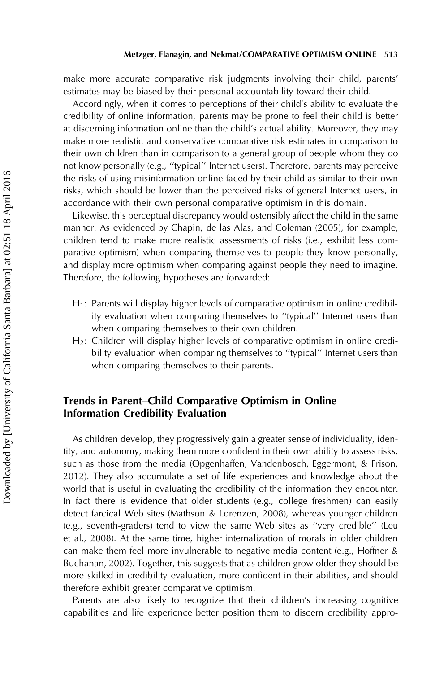#### Metzger, Flanagin, and Nekmat/COMPARATIVE OPTIMISM ONLINE 513

make more accurate comparative risk judgments involving their child, parents' estimates may be biased by their personal accountability toward their child.

Accordingly, when it comes to perceptions of their child's ability to evaluate the credibility of online information, parents may be prone to feel their child is better at discerning information online than the child's actual ability. Moreover, they may make more realistic and conservative comparative risk estimates in comparison to their own children than in comparison to a general group of people whom they do not know personally (e.g., ''typical'' Internet users). Therefore, parents may perceive the risks of using misinformation online faced by their child as similar to their own risks, which should be lower than the perceived risks of general Internet users, in accordance with their own personal comparative optimism in this domain.

Likewise, this perceptual discrepancy would ostensibly affect the child in the same manner. As evidenced by Chapin, de las Alas, and Coleman (2005), for example, children tend to make more realistic assessments of risks (i.e., exhibit less comparative optimism) when comparing themselves to people they know personally, and display more optimism when comparing against people they need to imagine. Therefore, the following hypotheses are forwarded:

- $H_1$ : Parents will display higher levels of comparative optimism in online credibility evaluation when comparing themselves to ''typical'' Internet users than when comparing themselves to their own children.
- H<sub>2</sub>: Children will display higher levels of comparative optimism in online credibility evaluation when comparing themselves to ''typical'' Internet users than when comparing themselves to their parents.

### Trends in Parent–Child Comparative Optimism in Online Information Credibility Evaluation

As children develop, they progressively gain a greater sense of individuality, identity, and autonomy, making them more confident in their own ability to assess risks, such as those from the media (Opgenhaffen, Vandenbosch, Eggermont, & Frison, 2012). They also accumulate a set of life experiences and knowledge about the world that is useful in evaluating the credibility of the information they encounter. In fact there is evidence that older students (e.g., college freshmen) can easily detect farcical Web sites (Mathson & Lorenzen, 2008), whereas younger children (e.g., seventh-graders) tend to view the same Web sites as ''very credible'' (Leu et al., 2008). At the same time, higher internalization of morals in older children can make them feel more invulnerable to negative media content (e.g., Hoffner & Buchanan, 2002). Together, this suggests that as children grow older they should be more skilled in credibility evaluation, more confident in their abilities, and should therefore exhibit greater comparative optimism.

Parents are also likely to recognize that their children's increasing cognitive capabilities and life experience better position them to discern credibility appro-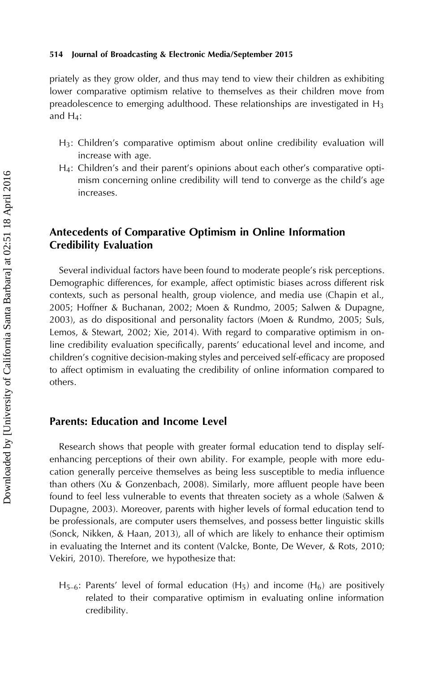priately as they grow older, and thus may tend to view their children as exhibiting lower comparative optimism relative to themselves as their children move from preadolescence to emerging adulthood. These relationships are investigated in  $H_3$ and  $H_4$ :

- H<sub>3</sub>: Children's comparative optimism about online credibility evaluation will increase with age.
- H4: Children's and their parent's opinions about each other's comparative optimism concerning online credibility will tend to converge as the child's age increases.

### Antecedents of Comparative Optimism in Online Information Credibility Evaluation

Several individual factors have been found to moderate people's risk perceptions. Demographic differences, for example, affect optimistic biases across different risk contexts, such as personal health, group violence, and media use (Chapin et al., 2005; Hoffner & Buchanan, 2002; Moen & Rundmo, 2005; Salwen & Dupagne, 2003), as do dispositional and personality factors (Moen & Rundmo, 2005; Suls, Lemos, & Stewart, 2002; Xie, 2014). With regard to comparative optimism in online credibility evaluation specifically, parents' educational level and income, and children's cognitive decision-making styles and perceived self-efficacy are proposed to affect optimism in evaluating the credibility of online information compared to others.

### Parents: Education and Income Level

Research shows that people with greater formal education tend to display selfenhancing perceptions of their own ability. For example, people with more education generally perceive themselves as being less susceptible to media influence than others (Xu & Gonzenbach, 2008). Similarly, more affluent people have been found to feel less vulnerable to events that threaten society as a whole (Salwen & Dupagne, 2003). Moreover, parents with higher levels of formal education tend to be professionals, are computer users themselves, and possess better linguistic skills (Sonck, Nikken, & Haan, 2013), all of which are likely to enhance their optimism in evaluating the Internet and its content (Valcke, Bonte, De Wever, & Rots, 2010; Vekiri, 2010). Therefore, we hypothesize that:

 $H_{5-6}$ : Parents' level of formal education (H<sub>5</sub>) and income (H<sub>6</sub>) are positively related to their comparative optimism in evaluating online information credibility.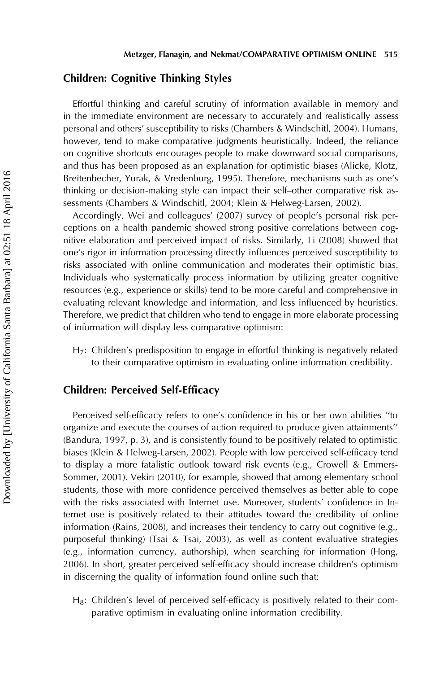# Children: Cognitive Thinking Styles

Effortful thinking and careful scrutiny of information available in memory and in the immediate environment are necessary to accurately and realistically assess personal and others' susceptibility to risks (Chambers & Windschitl, 2004). Humans, however, tend to make comparative judgments heuristically. Indeed, the reliance on cognitive shortcuts encourages people to make downward social comparisons, and thus has been proposed as an explanation for optimistic biases (Alicke, Klotz, Breitenbecher, Yurak, & Vredenburg, 1995). Therefore, mechanisms such as one's thinking or decision-making style can impact their self–other comparative risk assessments (Chambers & Windschitl, 2004; Klein & Helweg-Larsen, 2002).

Accordingly, Wei and colleagues' (2007) survey of people's personal risk perceptions on a health pandemic showed strong positive correlations between cognitive elaboration and perceived impact of risks. Similarly, Li (2008) showed that one's rigor in information processing directly influences perceived susceptibility to risks associated with online communication and moderates their optimistic bias. Individuals who systematically process information by utilizing greater cognitive resources (e.g., experience or skills) tend to be more careful and comprehensive in evaluating relevant knowledge and information, and less influenced by heuristics. Therefore, we predict that children who tend to engage in more elaborate processing of information will display less comparative optimism:

H7: Children's predisposition to engage in effortful thinking is negatively related to their comparative optimism in evaluating online information credibility.

### Children: Perceived Self-Efficacy

Perceived self-efficacy refers to one's confidence in his or her own abilities ''to organize and execute the courses of action required to produce given attainments'' (Bandura, 1997, p. 3), and is consistently found to be positively related to optimistic biases (Klein & Helweg-Larsen, 2002). People with low perceived self-efficacy tend to display a more fatalistic outlook toward risk events (e.g., Crowell & Emmers-Sommer, 2001). Vekiri (2010), for example, showed that among elementary school students, those with more confidence perceived themselves as better able to cope with the risks associated with Internet use. Moreover, students' confidence in Internet use is positively related to their attitudes toward the credibility of online information (Rains, 2008), and increases their tendency to carry out cognitive (e.g., purposeful thinking) (Tsai & Tsai, 2003), as well as content evaluative strategies (e.g., information currency, authorship), when searching for information (Hong, 2006). In short, greater perceived self-efficacy should increase children's optimism in discerning the quality of information found online such that:

 $H_8$ : Children's level of perceived self-efficacy is positively related to their comparative optimism in evaluating online information credibility.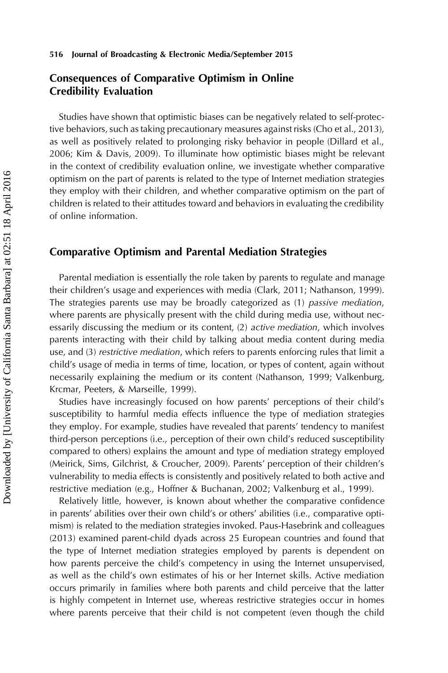### Consequences of Comparative Optimism in Online Credibility Evaluation

Studies have shown that optimistic biases can be negatively related to self-protective behaviors, such as taking precautionary measures against risks (Cho et al., 2013), as well as positively related to prolonging risky behavior in people (Dillard et al., 2006; Kim & Davis, 2009). To illuminate how optimistic biases might be relevant in the context of credibility evaluation online, we investigate whether comparative optimism on the part of parents is related to the type of Internet mediation strategies they employ with their children, and whether comparative optimism on the part of children is related to their attitudes toward and behaviors in evaluating the credibility of online information.

#### Comparative Optimism and Parental Mediation Strategies

Parental mediation is essentially the role taken by parents to regulate and manage their children's usage and experiences with media (Clark, 2011; Nathanson, 1999). The strategies parents use may be broadly categorized as (1) passive mediation, where parents are physically present with the child during media use, without necessarily discussing the medium or its content, (2) active mediation, which involves parents interacting with their child by talking about media content during media use, and (3) restrictive mediation, which refers to parents enforcing rules that limit a child's usage of media in terms of time, location, or types of content, again without necessarily explaining the medium or its content (Nathanson, 1999; Valkenburg, Krcmar, Peeters, & Marseille, 1999).

Studies have increasingly focused on how parents' perceptions of their child's susceptibility to harmful media effects influence the type of mediation strategies they employ. For example, studies have revealed that parents' tendency to manifest third-person perceptions (i.e., perception of their own child's reduced susceptibility compared to others) explains the amount and type of mediation strategy employed (Meirick, Sims, Gilchrist, & Croucher, 2009). Parents' perception of their children's vulnerability to media effects is consistently and positively related to both active and restrictive mediation (e.g., Hoffner & Buchanan, 2002; Valkenburg et al., 1999).

Relatively little, however, is known about whether the comparative confidence in parents' abilities over their own child's or others' abilities (i.e., comparative optimism) is related to the mediation strategies invoked. Paus-Hasebrink and colleagues (2013) examined parent-child dyads across 25 European countries and found that the type of Internet mediation strategies employed by parents is dependent on how parents perceive the child's competency in using the Internet unsupervised, as well as the child's own estimates of his or her Internet skills. Active mediation occurs primarily in families where both parents and child perceive that the latter is highly competent in Internet use, whereas restrictive strategies occur in homes where parents perceive that their child is not competent (even though the child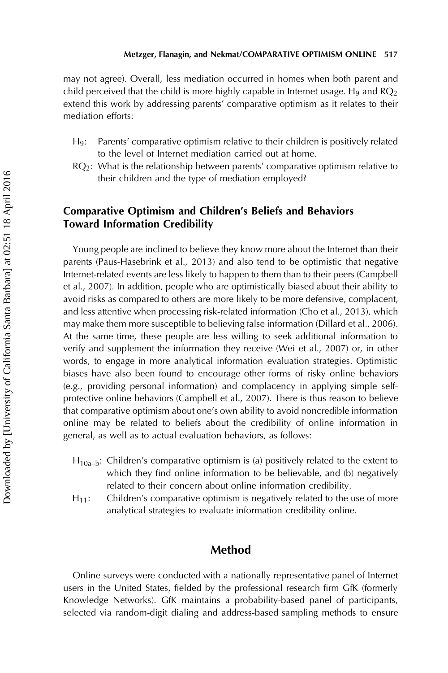may not agree). Overall, less mediation occurred in homes when both parent and child perceived that the child is more highly capable in Internet usage. H<sub>9</sub> and  $RQ_2$ extend this work by addressing parents' comparative optimism as it relates to their mediation efforts:

- H9: Parents' comparative optimism relative to their children is positively related to the level of Internet mediation carried out at home.
- $RQ<sub>2</sub>$ : What is the relationship between parents' comparative optimism relative to their children and the type of mediation employed?

### Comparative Optimism and Children's Beliefs and Behaviors Toward Information Credibility

Young people are inclined to believe they know more about the Internet than their parents (Paus-Hasebrink et al., 2013) and also tend to be optimistic that negative Internet-related events are less likely to happen to them than to their peers (Campbell et al., 2007). In addition, people who are optimistically biased about their ability to avoid risks as compared to others are more likely to be more defensive, complacent, and less attentive when processing risk-related information (Cho et al., 2013), which may make them more susceptible to believing false information (Dillard et al., 2006). At the same time, these people are less willing to seek additional information to verify and supplement the information they receive (Wei et al., 2007) or, in other words, to engage in more analytical information evaluation strategies. Optimistic biases have also been found to encourage other forms of risky online behaviors (e.g., providing personal information) and complacency in applying simple selfprotective online behaviors (Campbell et al., 2007). There is thus reason to believe that comparative optimism about one's own ability to avoid noncredible information online may be related to beliefs about the credibility of online information in general, as well as to actual evaluation behaviors, as follows:

- $H_{10a-b}$ : Children's comparative optimism is (a) positively related to the extent to which they find online information to be believable, and (b) negatively related to their concern about online information credibility.
- $H_{11}$ : Children's comparative optimism is negatively related to the use of more analytical strategies to evaluate information credibility online.

# Method

Online surveys were conducted with a nationally representative panel of Internet users in the United States, fielded by the professional research firm GfK (formerly Knowledge Networks). GfK maintains a probability-based panel of participants, selected via random-digit dialing and address-based sampling methods to ensure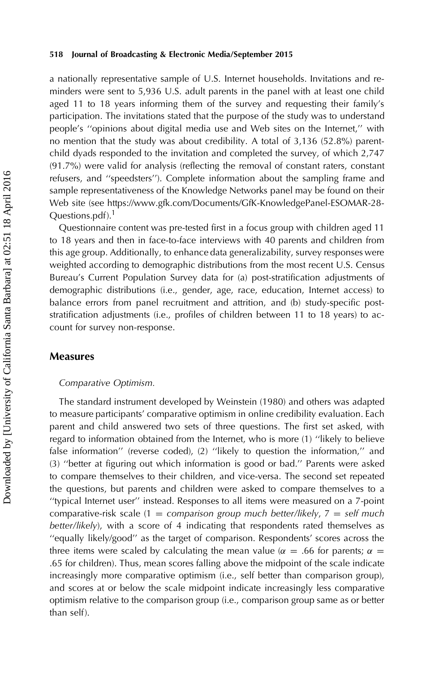a nationally representative sample of U.S. Internet households. Invitations and reminders were sent to 5,936 U.S. adult parents in the panel with at least one child aged 11 to 18 years informing them of the survey and requesting their family's participation. The invitations stated that the purpose of the study was to understand people's ''opinions about digital media use and Web sites on the Internet,'' with no mention that the study was about credibility. A total of 3,136 (52.8%) parentchild dyads responded to the invitation and completed the survey, of which 2,747 (91.7%) were valid for analysis (reflecting the removal of constant raters, constant refusers, and ''speedsters''). Complete information about the sampling frame and sample representativeness of the Knowledge Networks panel may be found on their Web site (see https://www.gfk.com/Documents/GfK-KnowledgePanel-ESOMAR-28- Questions.pdf).<sup>1</sup>

Questionnaire content was pre-tested first in a focus group with children aged 11 to 18 years and then in face-to-face interviews with 40 parents and children from this age group. Additionally, to enhance data generalizability, survey responses were weighted according to demographic distributions from the most recent U.S. Census Bureau's Current Population Survey data for (a) post-stratification adjustments of demographic distributions (i.e., gender, age, race, education, Internet access) to balance errors from panel recruitment and attrition, and (b) study-specific poststratification adjustments (i.e., profiles of children between 11 to 18 years) to account for survey non-response.

#### Measures

### Comparative Optimism.

The standard instrument developed by Weinstein (1980) and others was adapted to measure participants' comparative optimism in online credibility evaluation. Each parent and child answered two sets of three questions. The first set asked, with regard to information obtained from the Internet, who is more (1) ''likely to believe false information'' (reverse coded), (2) ''likely to question the information,'' and (3) ''better at figuring out which information is good or bad.'' Parents were asked to compare themselves to their children, and vice-versa. The second set repeated the questions, but parents and children were asked to compare themselves to a ''typical Internet user'' instead. Responses to all items were measured on a 7-point comparative-risk scale (1 = comparison group much better/likely, 7 = self much better/likely), with a score of 4 indicating that respondents rated themselves as ''equally likely/good'' as the target of comparison. Respondents' scores across the three items were scaled by calculating the mean value ( $\alpha = .66$  for parents;  $\alpha =$ .65 for children). Thus, mean scores falling above the midpoint of the scale indicate increasingly more comparative optimism (i.e., self better than comparison group), and scores at or below the scale midpoint indicate increasingly less comparative optimism relative to the comparison group (i.e., comparison group same as or better than self).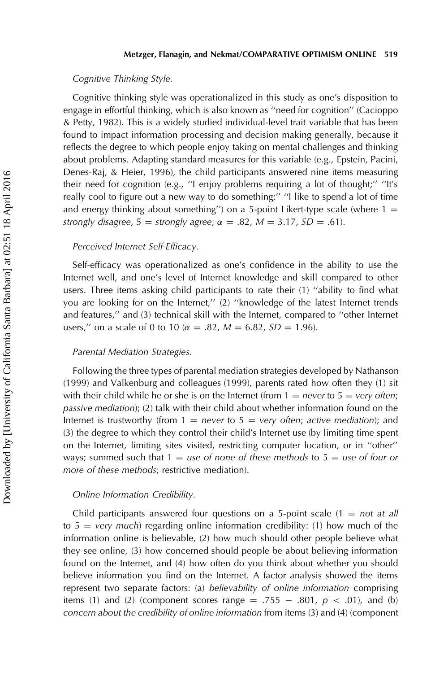#### Cognitive Thinking Style.

Cognitive thinking style was operationalized in this study as one's disposition to engage in effortful thinking, which is also known as ''need for cognition'' (Cacioppo & Petty, 1982). This is a widely studied individual-level trait variable that has been found to impact information processing and decision making generally, because it reflects the degree to which people enjoy taking on mental challenges and thinking about problems. Adapting standard measures for this variable (e.g., Epstein, Pacini, Denes-Raj, & Heier, 1996), the child participants answered nine items measuring their need for cognition (e.g., ''I enjoy problems requiring a lot of thought;'' ''It's really cool to figure out a new way to do something;'' ''I like to spend a lot of time and energy thinking about something'') on a 5-point Likert-type scale (where  $1 =$ strongly disagree,  $5 =$  strongly agree;  $\alpha = .82$ ,  $M = 3.17$ ,  $SD = .61$ ).

#### Perceived Internet Self-Efficacy.

Self-efficacy was operationalized as one's confidence in the ability to use the Internet well, and one's level of Internet knowledge and skill compared to other users. Three items asking child participants to rate their (1) ''ability to find what you are looking for on the Internet,'' (2) ''knowledge of the latest Internet trends and features,'' and (3) technical skill with the Internet, compared to ''other Internet users," on a scale of 0 to 10 ( $\alpha = .82$ ,  $M = 6.82$ ,  $SD = 1.96$ ).

#### Parental Mediation Strategies.

Following the three types of parental mediation strategies developed by Nathanson (1999) and Valkenburg and colleagues (1999), parents rated how often they (1) sit with their child while he or she is on the Internet (from  $1 =$  never to  $5 =$  very often; passive mediation); (2) talk with their child about whether information found on the Internet is trustworthy (from  $1 =$  never to  $5 =$  very often; active mediation); and (3) the degree to which they control their child's Internet use (by limiting time spent on the Internet, limiting sites visited, restricting computer location, or in ''other'' ways; summed such that  $1 =$  use of none of these methods to  $5 =$  use of four or more of these methods; restrictive mediation).

#### Online Information Credibility.

Child participants answered four questions on a 5-point scale  $(1 = not at all$ to  $5 = \text{very much}$  regarding online information credibility: (1) how much of the information online is believable, (2) how much should other people believe what they see online, (3) how concerned should people be about believing information found on the Internet, and (4) how often do you think about whether you should believe information you find on the Internet. A factor analysis showed the items represent two separate factors: (a) believability of online information comprising items (1) and (2) (component scores range  $= .755 - .801$ , p  $< .01$ ), and (b) concern about the credibility of online information from items (3) and (4) (component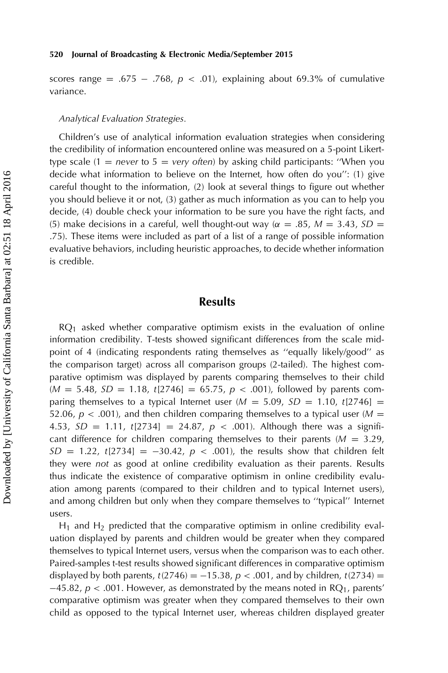scores range = .675 - .768, p < .01), explaining about 69.3% of cumulative variance.

#### Analytical Evaluation Strategies.

Children's use of analytical information evaluation strategies when considering the credibility of information encountered online was measured on a 5-point Likerttype scale (1 = never to 5 = very often) by asking child participants: 'When you decide what information to believe on the Internet, how often do you'': (1) give careful thought to the information, (2) look at several things to figure out whether you should believe it or not, (3) gather as much information as you can to help you decide, (4) double check your information to be sure you have the right facts, and (5) make decisions in a careful, well thought-out way ( $\alpha = .85$ ,  $M = 3.43$ , SD = .75). These items were included as part of a list of a range of possible information evaluative behaviors, including heuristic approaches, to decide whether information is credible.

## Results

 $RQ_1$  asked whether comparative optimism exists in the evaluation of online information credibility. T-tests showed significant differences from the scale midpoint of 4 (indicating respondents rating themselves as ''equally likely/good'' as the comparison target) across all comparison groups (2-tailed). The highest comparative optimism was displayed by parents comparing themselves to their child  $(M = 5.48, SD = 1.18, t[2746] = 65.75, p < .001$ ), followed by parents comparing themselves to a typical Internet user ( $M = 5.09$ ,  $SD = 1.10$ , t[2746] = 52.06,  $p < .001$ ), and then children comparing themselves to a typical user (M = 4.53,  $SD = 1.11$ ,  $t[2734] = 24.87$ ,  $p < .001$ ). Although there was a significant difference for children comparing themselves to their parents ( $M = 3.29$ ,  $SD = 1.22$ ,  $t[2734] = -30.42$ ,  $p < .001$ ), the results show that children felt they were not as good at online credibility evaluation as their parents. Results thus indicate the existence of comparative optimism in online credibility evaluation among parents (compared to their children and to typical Internet users), and among children but only when they compare themselves to ''typical'' Internet users.

 $H_1$  and  $H_2$  predicted that the comparative optimism in online credibility evaluation displayed by parents and children would be greater when they compared themselves to typical Internet users, versus when the comparison was to each other. Paired-samples t-test results showed significant differences in comparative optimism displayed by both parents,  $t(2746) = -15.38$ ,  $p < .001$ , and by children,  $t(2734) =$  $-45.82$ ,  $p < .001$ . However, as demonstrated by the means noted in RQ<sub>1</sub>, parents' comparative optimism was greater when they compared themselves to their own child as opposed to the typical Internet user, whereas children displayed greater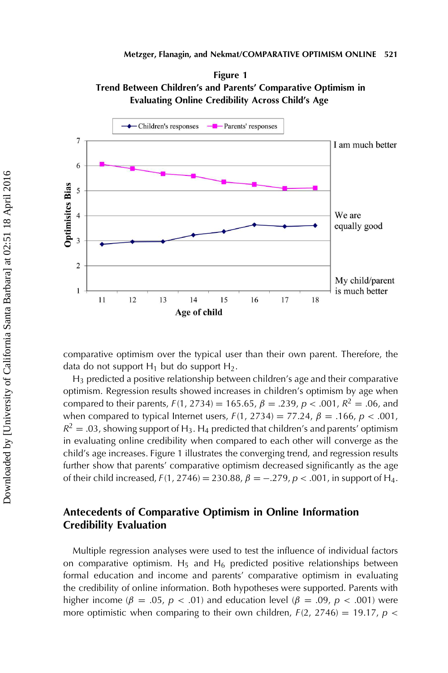

Figure 1



comparative optimism over the typical user than their own parent. Therefore, the data do not support  $H_1$  but do support  $H_2$ .

 $H_3$  predicted a positive relationship between children's age and their comparative optimism. Regression results showed increases in children's optimism by age when compared to their parents,  $F(1, 2734) = 165.65$ ,  $\beta = .239$ ,  $p < .001$ ,  $R^2 = .06$ , and when compared to typical Internet users,  $F(1, 2734) = 77.24$ ,  $\beta = .166$ ,  $p < .001$ ,  $R^2 = .03$ , showing support of H<sub>3</sub>. H<sub>4</sub> predicted that children's and parents' optimism in evaluating online credibility when compared to each other will converge as the child's age increases. Figure 1 illustrates the converging trend, and regression results further show that parents' comparative optimism decreased significantly as the age of their child increased,  $F(1, 2746) = 230.88$ ,  $\beta = -.279$ ,  $p < .001$ , in support of H<sub>4</sub>.

# Antecedents of Comparative Optimism in Online Information Credibility Evaluation

Multiple regression analyses were used to test the influence of individual factors on comparative optimism. H<sub>5</sub> and H<sub>6</sub> predicted positive relationships between formal education and income and parents' comparative optimism in evaluating the credibility of online information. Both hypotheses were supported. Parents with higher income ( $\beta = .05$ ,  $p < .01$ ) and education level ( $\beta = .09$ ,  $p < .001$ ) were more optimistic when comparing to their own children,  $F(2, 2746) = 19.17$ ,  $p <$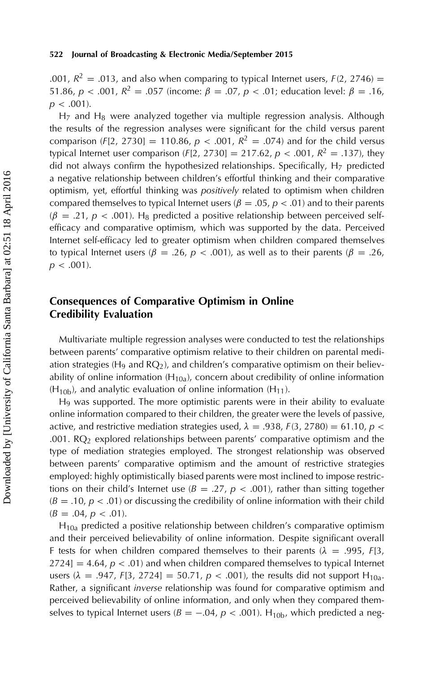.001,  $R^2 = .013$ , and also when comparing to typical Internet users,  $F(2, 2746) =$ 51.86,  $p < .001$ ,  $R^2 = .057$  (income:  $\beta = .07$ ,  $p < .01$ ; education level:  $\beta = .16$ ,  $p < .001$ ).

 $H<sub>7</sub>$  and  $H<sub>8</sub>$  were analyzed together via multiple regression analysis. Although the results of the regression analyses were significant for the child versus parent comparison (F[2, 2730] = 110.86,  $p < .001$ ,  $R^2 = .074$ ) and for the child versus typical Internet user comparison (F[2, 2730] = 217.62,  $p < .001$ ,  $R^2 = .137$ ), they did not always confirm the hypothesized relationships. Specifically,  $H_7$  predicted a negative relationship between children's effortful thinking and their comparative optimism, yet, effortful thinking was positively related to optimism when children compared themselves to typical Internet users ( $\beta = .05$ ,  $p < .01$ ) and to their parents ( $\beta$  = .21,  $p$  < .001). H<sub>8</sub> predicted a positive relationship between perceived selfefficacy and comparative optimism, which was supported by the data. Perceived Internet self-efficacy led to greater optimism when children compared themselves to typical Internet users ( $\beta = .26$ ,  $p < .001$ ), as well as to their parents ( $\beta = .26$ ,  $p < .001$ ).

## Consequences of Comparative Optimism in Online Credibility Evaluation

Multivariate multiple regression analyses were conducted to test the relationships between parents' comparative optimism relative to their children on parental mediation strategies (H<sub>9</sub> and RQ<sub>2</sub>), and children's comparative optimism on their believability of online information  $(H_{10a})$ , concern about credibility of online information  $(H_{10b})$ , and analytic evaluation of online information  $(H_{11})$ .

H9 was supported. The more optimistic parents were in their ability to evaluate online information compared to their children, the greater were the levels of passive, active, and restrictive mediation strategies used,  $\lambda = .938$ , F(3, 2780) = 61.10, p < .001.  $RQ_2$  explored relationships between parents' comparative optimism and the type of mediation strategies employed. The strongest relationship was observed between parents' comparative optimism and the amount of restrictive strategies employed: highly optimistically biased parents were most inclined to impose restrictions on their child's Internet use ( $B = .27$ ,  $p < .001$ ), rather than sitting together  $(B = .10, p < .01)$  or discussing the credibility of online information with their child  $(B = .04, p < .01).$ 

 $H_{10a}$  predicted a positive relationship between children's comparative optimism and their perceived believability of online information. Despite significant overall F tests for when children compared themselves to their parents ( $\lambda = .995, F[3,$  $2724$ ] = 4.64,  $p < .01$ ) and when children compared themselves to typical Internet users ( $\lambda = .947$ , F[3, 2724] = 50.71, p < .001), the results did not support H<sub>10a</sub>. Rather, a significant inverse relationship was found for comparative optimism and perceived believability of online information, and only when they compared themselves to typical Internet users ( $B = -.04$ ,  $p < .001$ ). H<sub>10b</sub>, which predicted a neg-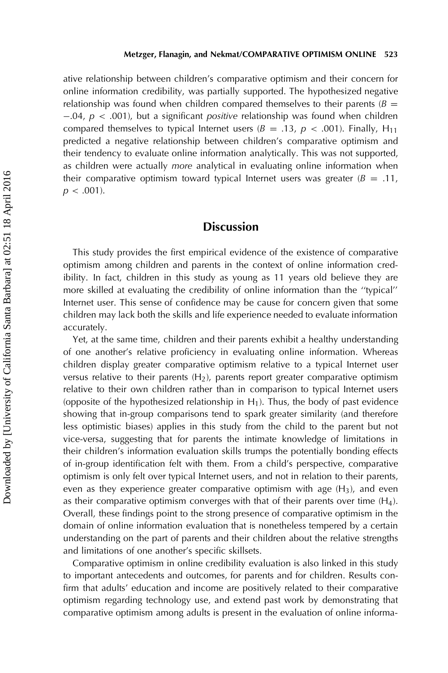#### Metzger, Flanagin, and Nekmat/COMPARATIVE OPTIMISM ONLINE 523

ative relationship between children's comparative optimism and their concern for online information credibility, was partially supported. The hypothesized negative relationship was found when children compared themselves to their parents ( $B =$  $-0.04$ ,  $p < 0.001$ ), but a significant *positive* relationship was found when children compared themselves to typical Internet users ( $B = .13$ ,  $p < .001$ ). Finally, H<sub>11</sub> predicted a negative relationship between children's comparative optimism and their tendency to evaluate online information analytically. This was not supported, as children were actually more analytical in evaluating online information when their comparative optimism toward typical Internet users was greater ( $B = .11$ ,  $p < .001$ ).

# Discussion

This study provides the first empirical evidence of the existence of comparative optimism among children and parents in the context of online information credibility. In fact, children in this study as young as 11 years old believe they are more skilled at evaluating the credibility of online information than the ''typical'' Internet user. This sense of confidence may be cause for concern given that some children may lack both the skills and life experience needed to evaluate information accurately.

Yet, at the same time, children and their parents exhibit a healthy understanding of one another's relative proficiency in evaluating online information. Whereas children display greater comparative optimism relative to a typical Internet user versus relative to their parents  $(H<sub>2</sub>)$ , parents report greater comparative optimism relative to their own children rather than in comparison to typical Internet users (opposite of the hypothesized relationship in  $H_1$ ). Thus, the body of past evidence showing that in-group comparisons tend to spark greater similarity (and therefore less optimistic biases) applies in this study from the child to the parent but not vice-versa, suggesting that for parents the intimate knowledge of limitations in their children's information evaluation skills trumps the potentially bonding effects of in-group identification felt with them. From a child's perspective, comparative optimism is only felt over typical Internet users, and not in relation to their parents, even as they experience greater comparative optimism with age  $(H<sub>3</sub>)$ , and even as their comparative optimism converges with that of their parents over time  $(H_4)$ . Overall, these findings point to the strong presence of comparative optimism in the domain of online information evaluation that is nonetheless tempered by a certain understanding on the part of parents and their children about the relative strengths and limitations of one another's specific skillsets.

Comparative optimism in online credibility evaluation is also linked in this study to important antecedents and outcomes, for parents and for children. Results confirm that adults' education and income are positively related to their comparative optimism regarding technology use, and extend past work by demonstrating that comparative optimism among adults is present in the evaluation of online informa-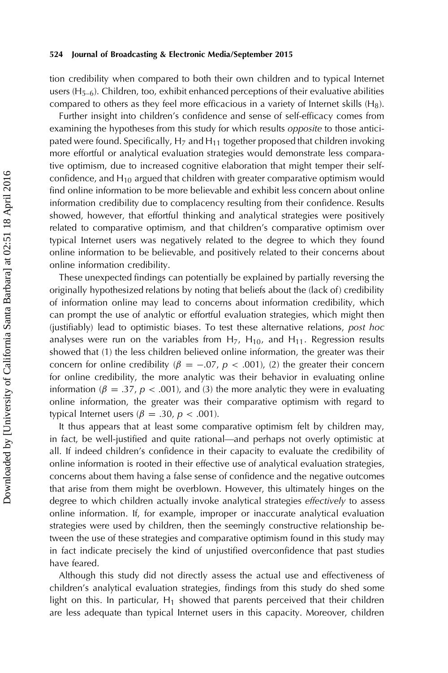tion credibility when compared to both their own children and to typical Internet users  $(H_{5-6})$ . Children, too, exhibit enhanced perceptions of their evaluative abilities compared to others as they feel more efficacious in a variety of Internet skills  $(H_8)$ .

Further insight into children's confidence and sense of self-efficacy comes from examining the hypotheses from this study for which results opposite to those anticipated were found. Specifically,  $H_7$  and  $H_{11}$  together proposed that children invoking more effortful or analytical evaluation strategies would demonstrate less comparative optimism, due to increased cognitive elaboration that might temper their selfconfidence, and  $H_{10}$  argued that children with greater comparative optimism would find online information to be more believable and exhibit less concern about online information credibility due to complacency resulting from their confidence. Results showed, however, that effortful thinking and analytical strategies were positively related to comparative optimism, and that children's comparative optimism over typical Internet users was negatively related to the degree to which they found online information to be believable, and positively related to their concerns about online information credibility.

These unexpected findings can potentially be explained by partially reversing the originally hypothesized relations by noting that beliefs about the (lack of) credibility of information online may lead to concerns about information credibility, which can prompt the use of analytic or effortful evaluation strategies, which might then (justifiably) lead to optimistic biases. To test these alternative relations, post hoc analyses were run on the variables from  $H_7$ ,  $H_{10}$ , and  $H_{11}$ . Regression results showed that (1) the less children believed online information, the greater was their concern for online credibility ( $\beta = -0.07$ ,  $p < .001$ ), (2) the greater their concern for online credibility, the more analytic was their behavior in evaluating online information ( $\beta = .37$ ,  $p < .001$ ), and (3) the more analytic they were in evaluating online information, the greater was their comparative optimism with regard to typical Internet users ( $\beta = .30$ ,  $p < .001$ ).

It thus appears that at least some comparative optimism felt by children may, in fact, be well-justified and quite rational—and perhaps not overly optimistic at all. If indeed children's confidence in their capacity to evaluate the credibility of online information is rooted in their effective use of analytical evaluation strategies, concerns about them having a false sense of confidence and the negative outcomes that arise from them might be overblown. However, this ultimately hinges on the degree to which children actually invoke analytical strategies effectively to assess online information. If, for example, improper or inaccurate analytical evaluation strategies were used by children, then the seemingly constructive relationship between the use of these strategies and comparative optimism found in this study may in fact indicate precisely the kind of unjustified overconfidence that past studies have feared.

Although this study did not directly assess the actual use and effectiveness of children's analytical evaluation strategies, findings from this study do shed some light on this. In particular,  $H_1$  showed that parents perceived that their children are less adequate than typical Internet users in this capacity. Moreover, children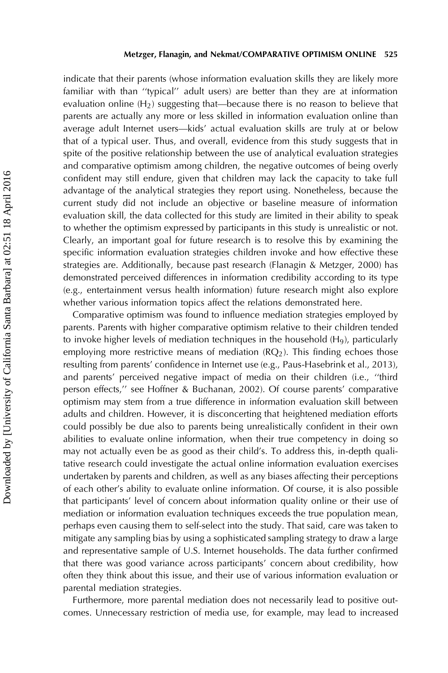indicate that their parents (whose information evaluation skills they are likely more familiar with than ''typical'' adult users) are better than they are at information evaluation online  $(H_2)$  suggesting that—because there is no reason to believe that parents are actually any more or less skilled in information evaluation online than average adult Internet users—kids' actual evaluation skills are truly at or below that of a typical user. Thus, and overall, evidence from this study suggests that in spite of the positive relationship between the use of analytical evaluation strategies and comparative optimism among children, the negative outcomes of being overly confident may still endure, given that children may lack the capacity to take full advantage of the analytical strategies they report using. Nonetheless, because the current study did not include an objective or baseline measure of information evaluation skill, the data collected for this study are limited in their ability to speak to whether the optimism expressed by participants in this study is unrealistic or not. Clearly, an important goal for future research is to resolve this by examining the specific information evaluation strategies children invoke and how effective these strategies are. Additionally, because past research (Flanagin & Metzger, 2000) has demonstrated perceived differences in information credibility according to its type (e.g., entertainment versus health information) future research might also explore whether various information topics affect the relations demonstrated here.

Comparative optimism was found to influence mediation strategies employed by parents. Parents with higher comparative optimism relative to their children tended to invoke higher levels of mediation techniques in the household  $(H_9)$ , particularly employing more restrictive means of mediation  $(RQ<sub>2</sub>)$ . This finding echoes those resulting from parents' confidence in Internet use (e.g., Paus-Hasebrink et al., 2013), and parents' perceived negative impact of media on their children (i.e., ''third person effects,'' see Hoffner & Buchanan, 2002). Of course parents' comparative optimism may stem from a true difference in information evaluation skill between adults and children. However, it is disconcerting that heightened mediation efforts could possibly be due also to parents being unrealistically confident in their own abilities to evaluate online information, when their true competency in doing so may not actually even be as good as their child's. To address this, in-depth qualitative research could investigate the actual online information evaluation exercises undertaken by parents and children, as well as any biases affecting their perceptions of each other's ability to evaluate online information. Of course, it is also possible that participants' level of concern about information quality online or their use of mediation or information evaluation techniques exceeds the true population mean, perhaps even causing them to self-select into the study. That said, care was taken to mitigate any sampling bias by using a sophisticated sampling strategy to draw a large and representative sample of U.S. Internet households. The data further confirmed that there was good variance across participants' concern about credibility, how often they think about this issue, and their use of various information evaluation or parental mediation strategies.

Furthermore, more parental mediation does not necessarily lead to positive outcomes. Unnecessary restriction of media use, for example, may lead to increased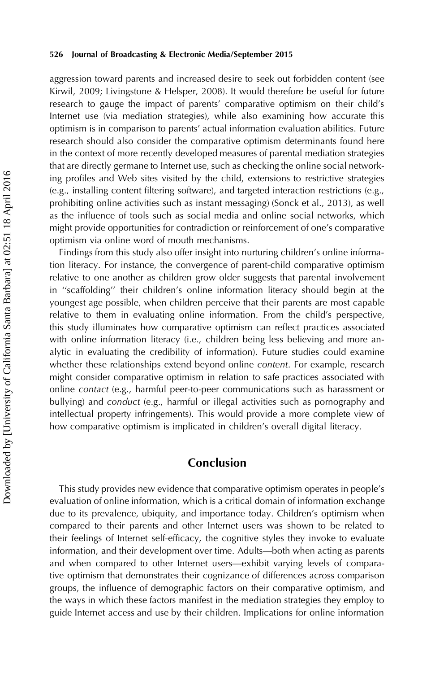aggression toward parents and increased desire to seek out forbidden content (see Kirwil, 2009; Livingstone & Helsper, 2008). It would therefore be useful for future research to gauge the impact of parents' comparative optimism on their child's Internet use (via mediation strategies), while also examining how accurate this optimism is in comparison to parents' actual information evaluation abilities. Future research should also consider the comparative optimism determinants found here in the context of more recently developed measures of parental mediation strategies that are directly germane to Internet use, such as checking the online social networking profiles and Web sites visited by the child, extensions to restrictive strategies (e.g., installing content filtering software), and targeted interaction restrictions (e.g., prohibiting online activities such as instant messaging) (Sonck et al., 2013), as well as the influence of tools such as social media and online social networks, which might provide opportunities for contradiction or reinforcement of one's comparative optimism via online word of mouth mechanisms.

Findings from this study also offer insight into nurturing children's online information literacy. For instance, the convergence of parent-child comparative optimism relative to one another as children grow older suggests that parental involvement in ''scaffolding'' their children's online information literacy should begin at the youngest age possible, when children perceive that their parents are most capable relative to them in evaluating online information. From the child's perspective, this study illuminates how comparative optimism can reflect practices associated with online information literacy (i.e., children being less believing and more analytic in evaluating the credibility of information). Future studies could examine whether these relationships extend beyond online *content*. For example, research might consider comparative optimism in relation to safe practices associated with online contact (e.g., harmful peer-to-peer communications such as harassment or bullying) and *conduct* (e.g., harmful or illegal activities such as pornography and intellectual property infringements). This would provide a more complete view of how comparative optimism is implicated in children's overall digital literacy.

# Conclusion

This study provides new evidence that comparative optimism operates in people's evaluation of online information, which is a critical domain of information exchange due to its prevalence, ubiquity, and importance today. Children's optimism when compared to their parents and other Internet users was shown to be related to their feelings of Internet self-efficacy, the cognitive styles they invoke to evaluate information, and their development over time. Adults—both when acting as parents and when compared to other Internet users—exhibit varying levels of comparative optimism that demonstrates their cognizance of differences across comparison groups, the influence of demographic factors on their comparative optimism, and the ways in which these factors manifest in the mediation strategies they employ to guide Internet access and use by their children. Implications for online information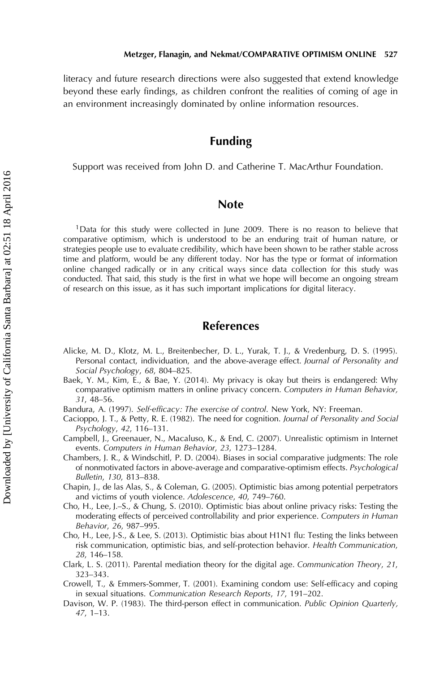literacy and future research directions were also suggested that extend knowledge beyond these early findings, as children confront the realities of coming of age in an environment increasingly dominated by online information resources.

# Funding

Support was received from John D. and Catherine T. MacArthur Foundation.

### Note

<sup>1</sup>Data for this study were collected in June 2009. There is no reason to believe that comparative optimism, which is understood to be an enduring trait of human nature, or strategies people use to evaluate credibility, which have been shown to be rather stable across time and platform, would be any different today. Nor has the type or format of information online changed radically or in any critical ways since data collection for this study was conducted. That said, this study is the first in what we hope will become an ongoing stream of research on this issue, as it has such important implications for digital literacy.

# References

- Alicke, M. D., Klotz, M. L., Breitenbecher, D. L., Yurak, T. J., & Vredenburg, D. S. (1995). Personal contact, individuation, and the above-average effect. Journal of Personality and Social Psychology, 68, 804–825.
- Baek, Y. M., Kim, E., & Bae, Y. (2014). My privacy is okay but theirs is endangered: Why comparative optimism matters in online privacy concern. Computers in Human Behavior, 31, 48–56.
- Bandura, A. (1997). Self-efficacy: The exercise of control. New York, NY: Freeman.
- Cacioppo, J. T., & Petty, R. E. (1982). The need for cognition. Journal of Personality and Social Psychology, 42, 116–131.
- Campbell, J., Greenauer, N., Macaluso, K., & End, C. (2007). Unrealistic optimism in Internet events. Computers in Human Behavior, 23, 1273–1284.
- Chambers, J. R., & Windschitl, P. D. (2004). Biases in social comparative judgments: The role of nonmotivated factors in above-average and comparative-optimism effects. Psychological Bulletin, 130, 813–838.
- Chapin, J., de las Alas, S., & Coleman, G. (2005). Optimistic bias among potential perpetrators and victims of youth violence. Adolescence, 40, 749–760.
- Cho, H., Lee, J.–S., & Chung, S. (2010). Optimistic bias about online privacy risks: Testing the moderating effects of perceived controllability and prior experience. Computers in Human Behavior, 26, 987–995.
- Cho, H., Lee, J-S., & Lee, S. (2013). Optimistic bias about H1N1 flu: Testing the links between risk communication, optimistic bias, and self-protection behavior. Health Communication, 28, 146–158.
- Clark, L. S. (2011). Parental mediation theory for the digital age. Communication Theory, 21, 323–343.
- Crowell, T., & Emmers-Sommer, T. (2001). Examining condom use: Self-efficacy and coping in sexual situations. Communication Research Reports, 17, 191–202.
- Davison, W. P. (1983). The third-person effect in communication. Public Opinion Quarterly, 47, 1–13.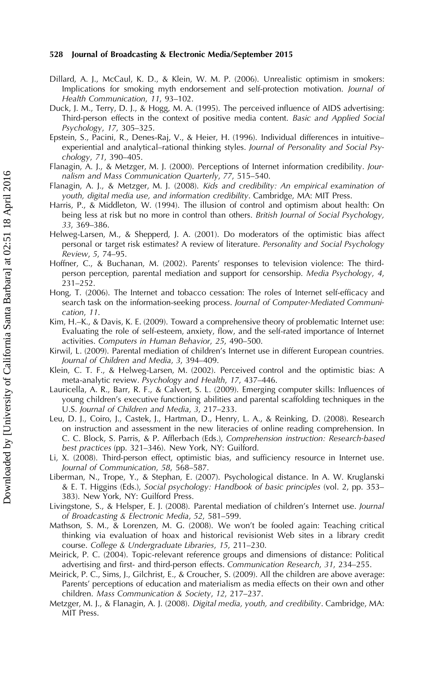- Dillard, A. J., McCaul, K. D., & Klein, W. M. P. (2006). Unrealistic optimism in smokers: Implications for smoking myth endorsement and self-protection motivation. Journal of Health Communication, 11, 93–102.
- Duck, J. M., Terry, D. J., & Hogg, M. A. (1995). The perceived influence of AIDS advertising: Third-person effects in the context of positive media content. Basic and Applied Social Psychology, 17, 305–325.
- Epstein, S., Pacini, R., Denes-Raj, V., & Heier, H. (1996). Individual differences in intuitive– experiential and analytical–rational thinking styles. Journal of Personality and Social Psychology, 71, 390–405.
- Flanagin, A. J., & Metzger, M. J. (2000). Perceptions of Internet information credibility. Journalism and Mass Communication Quarterly, 77, 515–540.
- Flanagin, A. J., & Metzger, M. J. (2008). Kids and credibility: An empirical examination of youth, digital media use, and information credibility. Cambridge, MA: MIT Press.
- Harris, P., & Middleton, W. (1994). The illusion of control and optimism about health: On being less at risk but no more in control than others. British Journal of Social Psychology, 33, 369–386.
- Helweg-Larsen, M., & Shepperd, J. A. (2001). Do moderators of the optimistic bias affect personal or target risk estimates? A review of literature. Personality and Social Psychology Review, 5, 74–95.
- Hoffner, C., & Buchanan, M. (2002). Parents' responses to television violence: The thirdperson perception, parental mediation and support for censorship. Media Psychology, 4, 231–252.
- Hong, T. (2006). The Internet and tobacco cessation: The roles of Internet self-efficacy and search task on the information-seeking process. Journal of Computer-Mediated Communication, 11.
- Kim, H.–K., & Davis, K. E. (2009). Toward a comprehensive theory of problematic Internet use: Evaluating the role of self-esteem, anxiety, flow, and the self-rated importance of Internet activities. Computers in Human Behavior, 25, 490–500.
- Kirwil, L. (2009). Parental mediation of children's Internet use in different European countries. Journal of Children and Media, 3, 394–409.
- Klein, C. T. F., & Helweg-Larsen, M. (2002). Perceived control and the optimistic bias: A meta-analytic review. Psychology and Health, 17, 437–446.
- Lauricella, A. R., Barr, R. F., & Calvert, S. L. (2009). Emerging computer skills: Influences of young children's executive functioning abilities and parental scaffolding techniques in the U.S. Journal of Children and Media, 3, 217–233.
- Leu, D. J., Coiro, J., Castek, J., Hartman, D., Henry, L. A., & Reinking, D. (2008). Research on instruction and assessment in the new literacies of online reading comprehension. In C. C. Block, S. Parris, & P. Afflerbach (Eds.), Comprehension instruction: Research-based best practices (pp. 321–346). New York, NY: Guilford.
- Li, X. (2008). Third-person effect, optimistic bias, and sufficiency resource in Internet use. Journal of Communication, 58, 568–587.
- Liberman, N., Trope, Y., & Stephan, E. (2007). Psychological distance. In A. W. Kruglanski & E. T. Higgins (Eds.), Social psychology: Handbook of basic principles (vol. 2, pp. 353– 383). New York, NY: Guilford Press.
- Livingstone, S., & Helsper, E. J. (2008). Parental mediation of children's Internet use. Journal of Broadcasting & Electronic Media, 52, 581–599.
- Mathson, S. M., & Lorenzen, M. G. (2008). We won't be fooled again: Teaching critical thinking via evaluation of hoax and historical revisionist Web sites in a library credit course. College & Undergraduate Libraries, 15, 211–230.
- Meirick, P. C. (2004). Topic-relevant reference groups and dimensions of distance: Political advertising and first- and third-person effects. Communication Research, 31, 234–255.
- Meirick, P. C., Sims, J., Gilchrist, E., & Croucher, S. (2009). All the children are above average: Parents' perceptions of education and materialism as media effects on their own and other children. Mass Communication & Society, 12, 217–237.
- Metzger, M. J., & Flanagin, A. J. (2008). Digital media, youth, and credibility. Cambridge, MA: MIT Press.